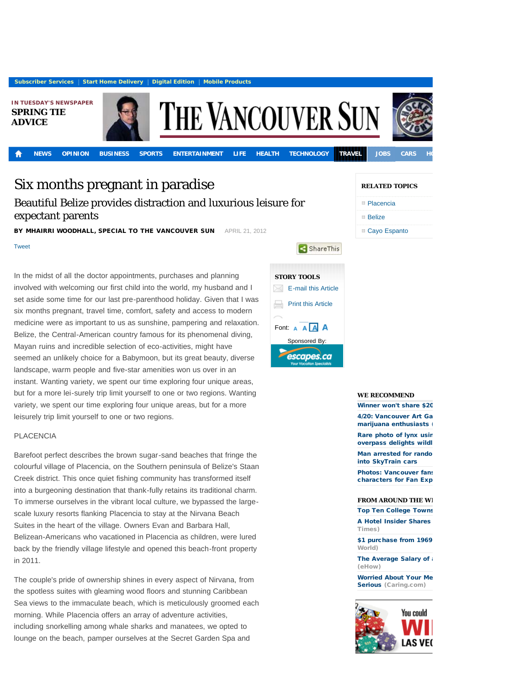**[Subscriber Services](http://members.canada.com/canada/vancouversun/subscribers/selfserve/index.html?site=cc&brand=vancouversun)** | [Start Home Delivery](https://contests.canada.com/vancouversun/subscribe/index.html) | [Digital Edition](http://digital.vancouversun.com/) | [Mobile Products](http://www.vancouversun.com/mobile-site/index.html)

**IN TUESDAY'S NEWSPAPER [SPRING TIE](http://www.vancouversun.com/travel/Spring+advice/6500911/story.html) [ADVICE](http://www.vancouversun.com/travel/Spring+advice/6500911/story.html)**



**[NEWS](http://www.vancouversun.com/news/) [OPINION](http://www.vancouversun.com/opinion/) [BUSINESS](http://www.vancouversun.com/business/) [SPORTS](http://www.vancouversun.com/sports/) [ENTERTAINMENT](http://www.vancouversun.com/entertainment/) [LIFE](http://www.vancouversun.com/life/) [HEALTH](http://www.vancouversun.com/health/) [TECHNOLOGY](http://www.vancouversun.com/technology/) [TRAVEL](http://www.vancouversun.com/travel/) [JOBS](http://www.working.com/vancouversun/index.html) [CARS](http://www.driving.ca/vancouversun/index.html) [HOMES](http://www.househunting.ca/vancouversun/) [CLASSIFIEDS](http://vancouversun.oodle.com/)**

**THE VANCOUVER SUN** 

# Six months pregnant in paradise

Beautiful Belize provides distraction and luxurious leisure for expectant parents

BY MHAIRRI WOODHALL, SPECIAL TO THE VANCOUVER SUN APRIL 21, 2012

[Tweet](http://twitter.com/share)

In the midst of all the doctor appointments, purchases and planning involved with welcoming our first child into the world, my husband and I set aside some time for our last pre-parenthood holiday. Given that I was six months pregnant, travel time, comfort, safety and access to modern medicine were as important to us as sunshine, pampering and relaxation. Belize, the Central-American country famous for its phenomenal diving, Mayan ruins and incredible selection of eco-activities, might have seemed an unlikely choice for a Babymoon, but its great beauty, diverse landscape, warm people and five-star amenities won us over in an instant. Wanting variety, we spent our time exploring four unique areas, but for a more lei-surely trip limit yourself to one or two regions. Wanting variety, we spent our time exploring four unique areas, but for a more leisurely trip limit yourself to one or two regions.

# PLACENCIA

Barefoot perfect describes the brown sugar-sand beaches that fringe the colourful village of Placencia, on the Southern peninsula of Belize's Staan Creek district. This once quiet fishing community has transformed itself into a burgeoning destination that thank-fully retains its traditional charm. To immerse ourselves in the vibrant local culture, we bypassed the largescale luxury resorts flanking Placencia to stay at the Nirvana Beach Suites in the heart of the village. Owners Evan and Barbara Hall, Belizean-Americans who vacationed in Placencia as children, were lured back by the friendly village lifestyle and opened this beach-front property in 2011.

The couple's pride of ownership shines in every aspect of Nirvana, from the spotless suites with gleaming wood floors and stunning Caribbean Sea views to the immaculate beach, which is meticulously groomed each morning. While Placencia offers an array of adventure activities, including snorkelling among whale sharks and manatees, we opted to lounge on the beach, pamper ourselves at the Secret Garden Spa and



### **RELATED TOPICS**

| □ Placencia |
|-------------|
| ∣ Belize    |

[Cayo Espanto](http://www.vancouversun.com/news/topic.html?t=Attraction&q=Cayo+Espanto)

f, ×

ShareThis



Winner won't share \$20

4/20: Vancouver Art Ga marijuana enthusiasts

Rare photo of lynx usir overpass delights wildl

Man arrested for rando [into SkyTrain cars](http://www.vancouversun.com/news/arrested+randomly+blasting+bear+spray+into+SkyTrain+cars/6504265/story.html)

Photos: Vancouver fans characters for Fan Exp

## **FROM AROUND THE W.**

**Top Ten College Towns** 

A Hotel Insider Shares Times)

\$1 purchase from 1969 World)

The Average Salary of (eHow)

**Worried About Your Me** [Serious](http://www.caring.com/articles/memory-worries-5-not-serious) (Caring.com)

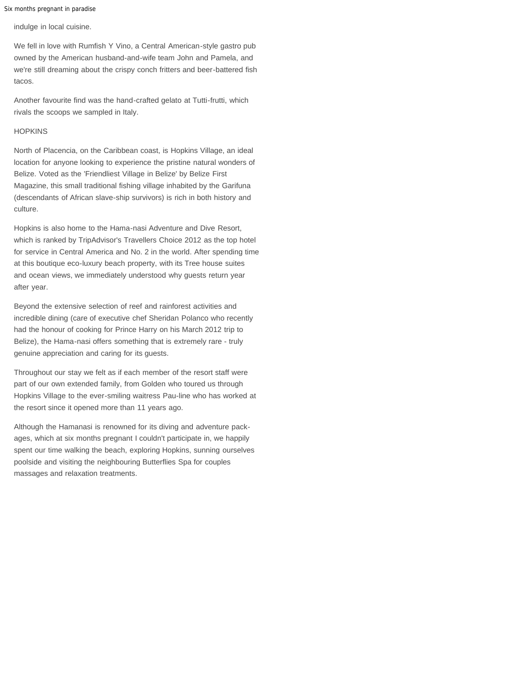Six months pregnant in paradise

indulge in local cuisine.

We fell in love with Rumfish Y Vino, a Central American-style gastro pub owned by the American husband-and-wife team John and Pamela, and we're still dreaming about the crispy conch fritters and beer-battered fish tacos.

Another favourite find was the hand-crafted gelato at Tutti-frutti, which rivals the scoops we sampled in Italy.

# **HOPKINS**

North of Placencia, on the Caribbean coast, is Hopkins Village, an ideal location for anyone looking to experience the pristine natural wonders of Belize. Voted as the 'Friendliest Village in Belize' by Belize First Magazine, this small traditional fishing village inhabited by the Garifuna (descendants of African slave-ship survivors) is rich in both history and culture.

Hopkins is also home to the Hama-nasi Adventure and Dive Resort, which is ranked by TripAdvisor's Travellers Choice 2012 as the top hotel for service in Central America and No. 2 in the world. After spending time at this boutique eco-luxury beach property, with its Tree house suites and ocean views, we immediately understood why guests return year after year.

Beyond the extensive selection of reef and rainforest activities and incredible dining (care of executive chef Sheridan Polanco who recently had the honour of cooking for Prince Harry on his March 2012 trip to Belize), the Hama-nasi offers something that is extremely rare - truly genuine appreciation and caring for its guests.

Throughout our stay we felt as if each member of the resort staff were part of our own extended family, from Golden who toured us through Hopkins Village to the ever-smiling waitress Pau-line who has worked at the resort since it opened more than 11 years ago.

Although the Hamanasi is renowned for its diving and adventure packages, which at six months pregnant I couldn't participate in, we happily spent our time walking the beach, exploring Hopkins, sunning ourselves poolside and visiting the neighbouring Butterflies Spa for couples massages and relaxation treatments.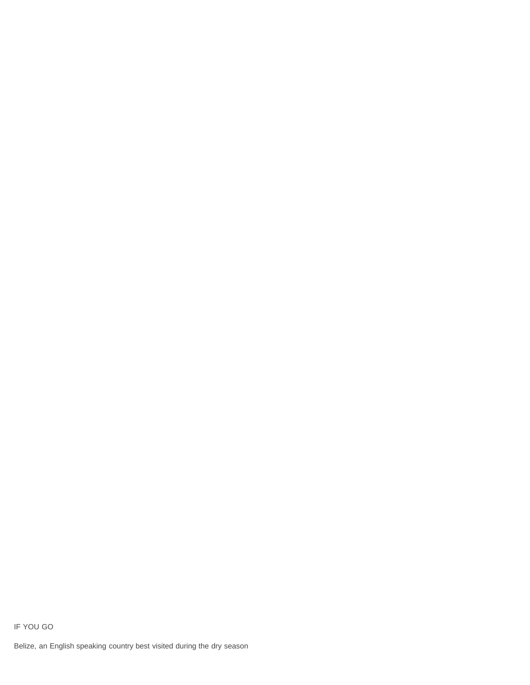#### IF YOU GO

Belize, an English speaking country best visited during the dry season